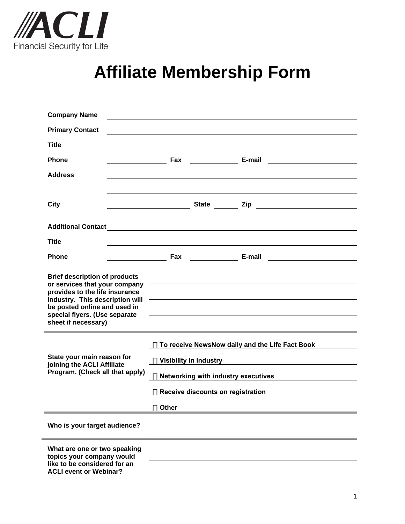

## **Affiliate Membership Form**

| <b>Company Name</b>                                                                                                                                                                                                                |                                                                                                                 |                                                                                                                                                                                                                                          |  |  |
|------------------------------------------------------------------------------------------------------------------------------------------------------------------------------------------------------------------------------------|-----------------------------------------------------------------------------------------------------------------|------------------------------------------------------------------------------------------------------------------------------------------------------------------------------------------------------------------------------------------|--|--|
| <b>Primary Contact</b>                                                                                                                                                                                                             |                                                                                                                 |                                                                                                                                                                                                                                          |  |  |
| <b>Title</b>                                                                                                                                                                                                                       |                                                                                                                 |                                                                                                                                                                                                                                          |  |  |
| <b>Phone</b>                                                                                                                                                                                                                       | Fax                                                                                                             | E-mail<br><u> 1980 - Jan Stein Stein Stein Stein Stein Stein Stein Stein Stein Stein Stein Stein Stein Stein Stein Stein S</u>                                                                                                           |  |  |
| <b>Address</b>                                                                                                                                                                                                                     |                                                                                                                 |                                                                                                                                                                                                                                          |  |  |
|                                                                                                                                                                                                                                    |                                                                                                                 |                                                                                                                                                                                                                                          |  |  |
| City                                                                                                                                                                                                                               |                                                                                                                 | <u>and a state of the state of the state of the state of the state of the state of the state of the state of the s</u>                                                                                                                   |  |  |
|                                                                                                                                                                                                                                    |                                                                                                                 |                                                                                                                                                                                                                                          |  |  |
| <b>Title</b>                                                                                                                                                                                                                       |                                                                                                                 |                                                                                                                                                                                                                                          |  |  |
| <b>Phone</b>                                                                                                                                                                                                                       |                                                                                                                 | <b>E-mail</b> Fax <b>Contract E-mail</b> Contract Contract Contract Contract Contract Contract Contract Contract Contract Contract Contract Contract Contract Contract Contract Contract Contract Contract Contract Contract Contract Co |  |  |
| <b>Brief description of products</b><br>or services that your company<br>provides to the life insurance<br>industry. This description will<br>be posted online and used in<br>special flyers. (Use separate<br>sheet if necessary) |                                                                                                                 | <u> 2000 - An Dùbhlachd ann an Dùbhlachd ann an Dùbhlachd ann an Dùbhlachd ann an Dùbhlachd ann an Dùbhlachd ann an </u><br><u> 1989 - Johann Barnett, fransk politiker (d. 1989)</u>                                                    |  |  |
|                                                                                                                                                                                                                                    | □ To receive NewsNow daily and the Life Fact Book                                                               |                                                                                                                                                                                                                                          |  |  |
| State your main reason for<br>joining the ACLI Affiliate<br>Program. (Check all that apply)                                                                                                                                        | □ Visibility in industry Discover and Discover and Discover and Discover and Discover and Discover and Discover |                                                                                                                                                                                                                                          |  |  |
|                                                                                                                                                                                                                                    | □ Networking with industry executives                                                                           |                                                                                                                                                                                                                                          |  |  |
|                                                                                                                                                                                                                                    | $\Box$ Receive discounts on registration                                                                        |                                                                                                                                                                                                                                          |  |  |
|                                                                                                                                                                                                                                    | $\Box$ Other                                                                                                    |                                                                                                                                                                                                                                          |  |  |
| Who is your target audience?                                                                                                                                                                                                       |                                                                                                                 |                                                                                                                                                                                                                                          |  |  |
| What are one or two speaking<br>topics your company would<br>like to be considered for an<br><b>ACLI event or Webinar?</b>                                                                                                         |                                                                                                                 |                                                                                                                                                                                                                                          |  |  |